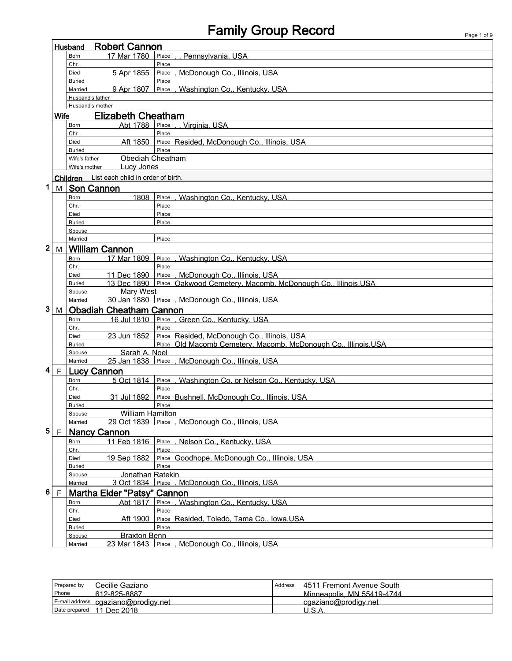## Family Group Record **Family Group Record**

|                                                             | <b>Robert Cannon</b><br>Husband                                |                  |                                    |                                                                 |  |  |
|-------------------------------------------------------------|----------------------------------------------------------------|------------------|------------------------------------|-----------------------------------------------------------------|--|--|
|                                                             | 17 Mar 1780<br>Place<br>Pennsylvania, USA<br>Born              |                  |                                    |                                                                 |  |  |
|                                                             |                                                                | Chr.             |                                    | Place                                                           |  |  |
| McDonough Co., Illinois, USA<br>5 Apr 1855<br>Place<br>Died |                                                                |                  |                                    |                                                                 |  |  |
| Place<br><b>Buried</b>                                      |                                                                |                  |                                    |                                                                 |  |  |
|                                                             |                                                                | Married          | 9 Apr 1807                         | Washington Co., Kentucky, USA<br>Place                          |  |  |
|                                                             |                                                                | Husband's father |                                    |                                                                 |  |  |
|                                                             |                                                                |                  | Husband's mother                   |                                                                 |  |  |
|                                                             | <b>Wife</b>                                                    |                  | <b>Elizabeth Cheatham</b>          |                                                                 |  |  |
|                                                             |                                                                | Born             | Abt 1788                           | ., Virginia, USA<br>Place                                       |  |  |
|                                                             |                                                                | Chr.             |                                    | Place                                                           |  |  |
|                                                             |                                                                | Died             | Aft 1850                           | Place Resided, McDonough Co., Illinois, USA                     |  |  |
|                                                             |                                                                | <b>Buried</b>    |                                    | Place                                                           |  |  |
|                                                             |                                                                | Wife's father    | <b>Obediah Cheatham</b>            |                                                                 |  |  |
|                                                             |                                                                | Wife's mother    | <b>Lucy Jones</b>                  |                                                                 |  |  |
|                                                             |                                                                | Children         | List each child in order of birth. |                                                                 |  |  |
| 1                                                           | M                                                              |                  | <b>Son Cannon</b>                  |                                                                 |  |  |
|                                                             |                                                                | Born             | 1808                               | , Washington Co., Kentucky, USA<br>Place                        |  |  |
|                                                             |                                                                | Chr.             |                                    | Place                                                           |  |  |
|                                                             |                                                                | Died             |                                    | Place                                                           |  |  |
|                                                             |                                                                | <b>Buried</b>    |                                    | Place                                                           |  |  |
|                                                             |                                                                | Spouse           |                                    |                                                                 |  |  |
|                                                             |                                                                | Married          |                                    | Place                                                           |  |  |
| 2                                                           | M                                                              |                  | <b>William Cannon</b>              |                                                                 |  |  |
|                                                             |                                                                | Born             | 17 Mar 1809                        | Washington Co., Kentucky, USA<br>Place                          |  |  |
|                                                             |                                                                | Chr.             |                                    | Place                                                           |  |  |
|                                                             |                                                                | Died             | 11 Dec 1890                        | Place<br>, McDonough Co., Illinois, USA                         |  |  |
|                                                             |                                                                | <b>Buried</b>    | 13 Dec 1890                        | Place Oakwood Cemetery, Macomb, McDonough Co., Illinois, USA    |  |  |
|                                                             |                                                                | Spouse           | <b>Mary West</b>                   |                                                                 |  |  |
|                                                             |                                                                | Married          | 30 Jan 1880 Place .                | McDonough Co., Illinois, USA                                    |  |  |
| 3                                                           | M                                                              |                  | <b>Obadiah Cheatham Cannon</b>     |                                                                 |  |  |
|                                                             |                                                                | Born             | 16 Jul 1810                        | Place, Green Co., Kentucky, USA                                 |  |  |
|                                                             |                                                                | Chr.             |                                    | Place                                                           |  |  |
|                                                             |                                                                | Died             | 23 Jun 1852                        | Place Resided, McDonough Co., Illinois, USA                     |  |  |
|                                                             |                                                                | <b>Buried</b>    |                                    | Place Old Macomb Cemetery, Macomb, McDonough Co., Illinois, USA |  |  |
|                                                             |                                                                | Spouse           | Sarah A. Noel                      |                                                                 |  |  |
|                                                             |                                                                | Married          |                                    | 25 Jan 1838 Place, McDonough Co., Illinois, USA                 |  |  |
| 4                                                           | F                                                              |                  | Lucy Cannon                        |                                                                 |  |  |
|                                                             |                                                                |                  | 5 Oct 1814                         |                                                                 |  |  |
|                                                             |                                                                | Born<br>Chr.     |                                    | Place, Washington Co. or Nelson Co., Kentucky, USA<br>Place     |  |  |
|                                                             |                                                                | Died             | 31 Jul 1892                        | Place Bushnell, McDonough Co., Illinois, USA                    |  |  |
|                                                             |                                                                | <b>Buried</b>    |                                    | Place                                                           |  |  |
| <b>William Hamilton</b><br>Spouse                           |                                                                |                  |                                    |                                                                 |  |  |
|                                                             |                                                                | Married          |                                    | 29 Oct 1839 Place, McDonough Co., Illinois, USA                 |  |  |
| 5                                                           | E                                                              |                  | <b>Nancy Cannon</b>                |                                                                 |  |  |
|                                                             |                                                                |                  | 11 Feb 1816                        | Nelson Co., Kentucky, USA<br>Place                              |  |  |
|                                                             |                                                                | Born<br>Chr.     |                                    | Place                                                           |  |  |
|                                                             |                                                                | Died             | 19 Sep 1882                        | Place Goodhope, McDonough Co., Illinois, USA                    |  |  |
|                                                             |                                                                | <b>Buried</b>    |                                    | Place                                                           |  |  |
|                                                             |                                                                | Spouse           | Jonathan Ratekin                   |                                                                 |  |  |
|                                                             | McDonough Co., Illinois, USA<br>3 Oct 1834<br>Place<br>Married |                  |                                    |                                                                 |  |  |
| 6                                                           | F                                                              |                  | <b>Martha Elder "Patsy" Cannon</b> |                                                                 |  |  |
|                                                             |                                                                |                  |                                    | Place, Washington Co., Kentucky, USA                            |  |  |
|                                                             |                                                                | Born             |                                    | Abt 1817<br>Place                                               |  |  |
|                                                             |                                                                | Chr.<br>Died     | Aft 1900                           | Place Resided, Toledo, Tama Co., Iowa, USA                      |  |  |
|                                                             |                                                                | <b>Buried</b>    |                                    | Place                                                           |  |  |
|                                                             |                                                                | Spouse           | <b>Braxton Benn</b>                |                                                                 |  |  |
|                                                             |                                                                | Married          | 23 Mar 1843 Place                  | McDonough Co., Illinois, USA                                    |  |  |
|                                                             |                                                                |                  |                                    |                                                                 |  |  |

| Prepared by   | Cecilie Gaziano.                    | Address | 4511 Fremont Avenue South  |
|---------------|-------------------------------------|---------|----------------------------|
| Phone         | 612-825-8887                        |         | Minneapolis, MN 55419-4744 |
|               | E-mail address cgaziano@prodigy.net |         | cgaziano@prodigy.net       |
| Date prepared | 11 Dec 2018                         |         |                            |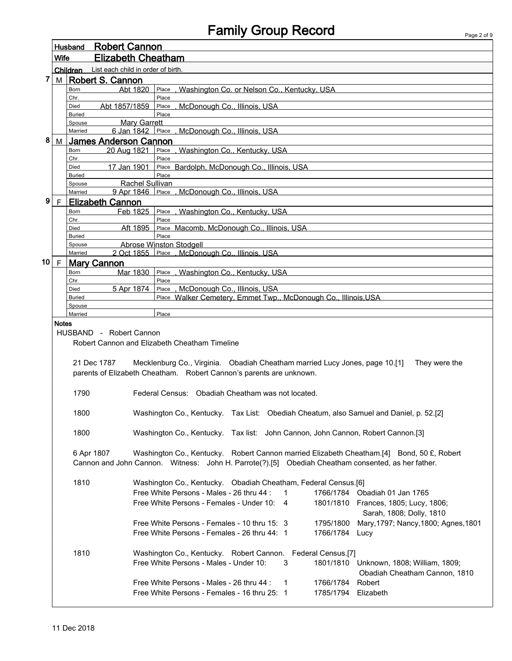|             | Husband        |                                             | <b>Robert Cannon</b>           |                                                                                                    |  |  |  |  |  |
|-------------|----------------|---------------------------------------------|--------------------------------|----------------------------------------------------------------------------------------------------|--|--|--|--|--|
| <b>Wife</b> |                |                                             | <b>Elizabeth Cheatham</b>      |                                                                                                    |  |  |  |  |  |
|             |                | Children List each child in order of birth. |                                |                                                                                                    |  |  |  |  |  |
| 7           | $M \mid$       |                                             | Robert S. Cannon               |                                                                                                    |  |  |  |  |  |
|             |                | Born                                        | Abt 1820                       | Washington Co. or Nelson Co., Kentucky, USA<br>Place                                               |  |  |  |  |  |
|             |                | Chr.                                        | Abt 1857/1859                  | Place                                                                                              |  |  |  |  |  |
|             |                | Died<br><b>Buried</b>                       |                                | McDonough Co., Illinois, USA<br>Place<br>Place                                                     |  |  |  |  |  |
|             |                | Spouse                                      | <b>Mary Garrett</b>            |                                                                                                    |  |  |  |  |  |
|             |                | Married                                     | 6 Jan 1842 Place.              | McDonough Co., Illinois, USA                                                                       |  |  |  |  |  |
| 8           | M              |                                             | <b>James Anderson Cannon</b>   |                                                                                                    |  |  |  |  |  |
|             |                | Born                                        | 20 Aug 1821                    | Place, Washington Co., Kentucky, USA<br>Place                                                      |  |  |  |  |  |
|             |                | Chr.<br>Died                                | 17 Jan 1901                    | Place Bardolph, McDonough Co., Illinois, USA                                                       |  |  |  |  |  |
|             |                | <b>Buried</b>                               |                                | Place                                                                                              |  |  |  |  |  |
|             |                | Spouse                                      | <b>Rachel Sullivan</b>         |                                                                                                    |  |  |  |  |  |
|             |                | Married                                     |                                | 9 Apr 1846 Place, McDonough Co., Illinois, USA                                                     |  |  |  |  |  |
| 9           | F <sub>1</sub> |                                             | <b>Elizabeth Cannon</b>        |                                                                                                    |  |  |  |  |  |
|             |                | Born<br>Chr.                                | Feb 1825                       | Place, Washington Co., Kentucky, USA<br>Place                                                      |  |  |  |  |  |
|             |                | Died                                        | Aft 1895                       | Place Macomb, McDonough Co., Illinois, USA                                                         |  |  |  |  |  |
|             |                | <b>Buried</b>                               |                                | Place                                                                                              |  |  |  |  |  |
|             |                | Spouse                                      |                                | Abrose Winston Stodgell                                                                            |  |  |  |  |  |
|             | 10   $F$       | Married                                     |                                | 2 Oct 1855 Place, McDonough Co., Illinois, USA                                                     |  |  |  |  |  |
|             |                | Born                                        | <b>Mary Cannon</b><br>Mar 1830 | Place, Washington Co., Kentucky, USA                                                               |  |  |  |  |  |
|             |                | Chr.                                        |                                | Place                                                                                              |  |  |  |  |  |
|             |                | Died                                        | 5 Apr 1874                     | Place, McDonough Co., Illinois, USA                                                                |  |  |  |  |  |
|             |                | <b>Buried</b>                               |                                | Place Walker Cemetery, Emmet Twp., McDonough Co., Illinois, USA                                    |  |  |  |  |  |
|             |                | Spouse<br>Married                           |                                | Place                                                                                              |  |  |  |  |  |
|             | <b>Notes</b>   |                                             |                                |                                                                                                    |  |  |  |  |  |
|             |                |                                             | HUSBAND - Robert Cannon        |                                                                                                    |  |  |  |  |  |
|             |                |                                             |                                | Robert Cannon and Elizabeth Cheatham Timeline                                                      |  |  |  |  |  |
|             |                |                                             |                                |                                                                                                    |  |  |  |  |  |
|             |                |                                             | 21 Dec 1787                    | Mecklenburg Co., Virginia. Obadiah Cheatham married Lucy Jones, page 10.[1]<br>They were the       |  |  |  |  |  |
|             |                |                                             |                                | parents of Elizabeth Cheatham. Robert Cannon's parents are unknown.                                |  |  |  |  |  |
|             |                |                                             |                                |                                                                                                    |  |  |  |  |  |
|             |                | 1790                                        |                                | Federal Census: Obadiah Cheatham was not located.                                                  |  |  |  |  |  |
|             |                | 1800                                        |                                | Washington Co., Kentucky. Tax List: Obediah Cheatum, also Samuel and Daniel, p. 52.[2]             |  |  |  |  |  |
|             |                |                                             |                                |                                                                                                    |  |  |  |  |  |
|             |                | 1800                                        |                                | Washington Co., Kentucky. Tax list: John Cannon, John Cannon, Robert Cannon.[3]                    |  |  |  |  |  |
|             |                |                                             |                                |                                                                                                    |  |  |  |  |  |
|             |                |                                             | 6 Apr 1807                     | Washington Co., Kentucky. Robert Cannon married Elizabeth Cheatham.[4] Bond, 50 £, Robert          |  |  |  |  |  |
|             |                |                                             |                                | Cannon and John Cannon. Witness: John H. Parrote(?).[5] Obediah Cheatham consented, as her father. |  |  |  |  |  |
|             |                |                                             |                                |                                                                                                    |  |  |  |  |  |
|             |                | 1810                                        |                                | Washington Co., Kentucky. Obadiah Cheatham, Federal Census.[6]                                     |  |  |  |  |  |
|             |                |                                             |                                | Free White Persons - Males - 26 thru 44 :<br>1766/1784 Obadiah 01 Jan 1765<br>$\mathbf{1}$         |  |  |  |  |  |
|             |                |                                             |                                | Free White Persons - Females - Under 10: 4<br>1801/1810 Frances, 1805; Lucy, 1806;                 |  |  |  |  |  |
|             |                |                                             |                                | Sarah, 1808; Dolly, 1810                                                                           |  |  |  |  |  |
|             |                |                                             |                                | Free White Persons - Females - 10 thru 15: 3<br>Mary, 1797; Nancy, 1800; Agnes, 1801<br>1795/1800  |  |  |  |  |  |
|             |                |                                             |                                | Free White Persons - Females - 26 thru 44: 1<br>1766/1784 Lucy                                     |  |  |  |  |  |
|             |                | 1810                                        |                                | Washington Co., Kentucky. Robert Cannon. Federal Census.[7]                                        |  |  |  |  |  |
|             |                |                                             |                                | Free White Persons - Males - Under 10:<br>3<br>1801/1810 Unknown, 1808; William, 1809;             |  |  |  |  |  |
|             |                |                                             |                                | Obadiah Cheatham Cannon, 1810                                                                      |  |  |  |  |  |
|             |                |                                             |                                | Free White Persons - Males - 26 thru 44 :<br>1766/1784<br>Robert<br>$\mathbf{1}$                   |  |  |  |  |  |
|             |                |                                             |                                | Free White Persons - Females - 16 thru 25: 1<br>1785/1794 Elizabeth                                |  |  |  |  |  |
|             |                |                                             |                                |                                                                                                    |  |  |  |  |  |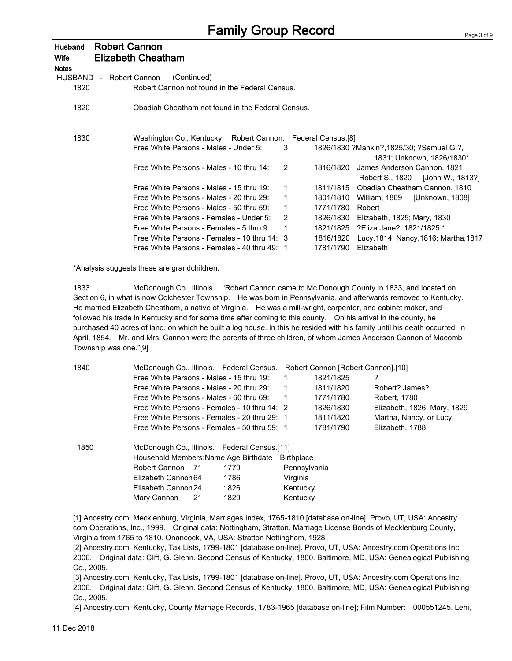## Family Group Record

| <b>Husband</b> | <b>Robert Cannon</b>                                                                                                           |                                                                                                                            |                     |                        |                                                       |
|----------------|--------------------------------------------------------------------------------------------------------------------------------|----------------------------------------------------------------------------------------------------------------------------|---------------------|------------------------|-------------------------------------------------------|
| <b>Wife</b>    |                                                                                                                                | <b>Elizabeth Cheatham</b>                                                                                                  |                     |                        |                                                       |
| <b>Notes</b>   |                                                                                                                                |                                                                                                                            |                     |                        |                                                       |
|                | HUSBAND - Robert Cannon                                                                                                        | (Continued)                                                                                                                |                     |                        |                                                       |
| 1820           |                                                                                                                                | Robert Cannon not found in the Federal Census.                                                                             |                     |                        |                                                       |
|                |                                                                                                                                |                                                                                                                            |                     |                        |                                                       |
| 1820           |                                                                                                                                | Obadiah Cheatham not found in the Federal Census.                                                                          |                     |                        |                                                       |
|                |                                                                                                                                |                                                                                                                            |                     |                        |                                                       |
|                |                                                                                                                                |                                                                                                                            |                     |                        |                                                       |
| 1830           |                                                                                                                                | Washington Co., Kentucky. Robert Cannon. Federal Census.[8]                                                                |                     |                        |                                                       |
|                |                                                                                                                                | Free White Persons - Males - Under 5:                                                                                      | 3                   |                        | 1826/1830 ?Mankin?, 1825/30; ?Samuel G.?,             |
|                |                                                                                                                                |                                                                                                                            |                     |                        | 1831; Unknown, 1826/1830*                             |
|                |                                                                                                                                | Free White Persons - Males - 10 thru 14:                                                                                   | 2                   |                        | 1816/1820 James Anderson Cannon, 1821                 |
|                |                                                                                                                                |                                                                                                                            |                     |                        | Robert S., 1820<br>[John W., 1813?]                   |
|                |                                                                                                                                | Free White Persons - Males - 15 thru 19:                                                                                   | 1                   |                        | 1811/1815 Obadiah Cheatham Cannon, 1810               |
|                |                                                                                                                                | Free White Persons - Males - 20 thru 29:<br>Free White Persons - Males - 50 thru 59:                                       | 1                   | 1771/1780 Robert       | 1801/1810 William, 1809<br>[Unknown, 1808]            |
|                |                                                                                                                                | Free White Persons - Females - Under 5:                                                                                    | 1<br>$\overline{2}$ |                        | 1826/1830 Elizabeth, 1825; Mary, 1830                 |
|                |                                                                                                                                | Free White Persons - Females - 5 thru 9:                                                                                   | 1                   |                        | 1821/1825 ?Eliza Jane?, 1821/1825 *                   |
|                |                                                                                                                                | Free White Persons - Females - 10 thru 14: 3                                                                               |                     |                        | 1816/1820 Lucy, 1814; Nancy, 1816; Martha, 1817       |
|                |                                                                                                                                | Free White Persons - Females - 40 thru 49: 1                                                                               |                     | 1781/1790 Elizabeth    |                                                       |
|                |                                                                                                                                |                                                                                                                            |                     |                        |                                                       |
|                |                                                                                                                                | *Analysis suggests these are grandchildren.                                                                                |                     |                        |                                                       |
|                |                                                                                                                                |                                                                                                                            |                     |                        |                                                       |
| 1833           |                                                                                                                                | McDonough Co., Illinois. "Robert Cannon came to Mc Donough County in 1833, and located on                                  |                     |                        |                                                       |
|                |                                                                                                                                | Section 6, in what is now Colchester Township. He was born in Pennsylvania, and afterwards removed to Kentucky.            |                     |                        |                                                       |
|                |                                                                                                                                | He married Elizabeth Cheatham, a native of Virginia. He was a mill-wright, carpenter, and cabinet maker, and               |                     |                        |                                                       |
|                |                                                                                                                                | followed his trade in Kentucky and for some time after coming to this county.  On his arrival in the county, he            |                     |                        |                                                       |
|                |                                                                                                                                | purchased 40 acres of land, on which he built a log house. In this he resided with his family until his death occurred, in |                     |                        |                                                       |
|                |                                                                                                                                | April, 1854. Mr. and Mrs. Cannon were the parents of three children, of whom James Anderson Cannon of Macomb               |                     |                        |                                                       |
|                | Township was one."[9]                                                                                                          |                                                                                                                            |                     |                        |                                                       |
|                |                                                                                                                                |                                                                                                                            |                     |                        |                                                       |
| 1840           |                                                                                                                                | McDonough Co., Illinois. Federal Census. Robert Connon [Robert Cannon].[10]                                                |                     |                        |                                                       |
|                |                                                                                                                                | Free White Persons - Males - 15 thru 19:                                                                                   | 1                   | 1821/1825              | ?                                                     |
|                |                                                                                                                                | Free White Persons - Males - 20 thru 29:<br>Free White Persons - Males - 60 thru 69:                                       | 1                   | 1811/1820              | Robert? James?                                        |
|                |                                                                                                                                |                                                                                                                            | 1                   | 1771/1780              | Robert, 1780                                          |
|                |                                                                                                                                | Free White Persons - Females - 10 thru 14: 2<br>Free White Persons - Females - 20 thru 29: 1                               |                     | 1826/1830<br>1811/1820 | Elizabeth, 1826; Mary, 1829<br>Martha, Nancy, or Lucy |
|                |                                                                                                                                | Free White Persons - Females - 50 thru 59: 1                                                                               |                     | 1781/1790              | Elizabeth, 1788                                       |
|                |                                                                                                                                |                                                                                                                            |                     |                        |                                                       |
| 1850           |                                                                                                                                | McDonough Co., Illinois. Federal Census.[11]                                                                               |                     |                        |                                                       |
|                |                                                                                                                                | Household Members: Name Age Birthdate Birthplace                                                                           |                     |                        |                                                       |
|                |                                                                                                                                | Robert Cannon 71<br>1779                                                                                                   | Pennsylvania        |                        |                                                       |
|                |                                                                                                                                | Elizabeth Cannon 64<br>1786                                                                                                | Virginia            |                        |                                                       |
|                |                                                                                                                                | Elisabeth Cannon 24<br>1826                                                                                                | Kentucky            |                        |                                                       |
|                |                                                                                                                                | 1829<br>Mary Cannon<br>21                                                                                                  | Kentucky            |                        |                                                       |
|                |                                                                                                                                |                                                                                                                            |                     |                        |                                                       |
|                |                                                                                                                                | [1] Ancestry.com. Mecklenburg, Virginia, Marriages Index, 1765-1810 [database on-line]. Provo, UT, USA: Ancestry.          |                     |                        |                                                       |
|                |                                                                                                                                | com Operations, Inc., 1999. Original data: Nottingham, Stratton. Marriage License Bonds of Mecklenburg County,             |                     |                        |                                                       |
|                |                                                                                                                                | Virginia from 1765 to 1810. Onancock, VA, USA: Stratton Nottingham, 1928.                                                  |                     |                        |                                                       |
|                |                                                                                                                                | [2] Ancestry.com. Kentucky, Tax Lists, 1799-1801 [database on-line]. Provo, UT, USA: Ancestry.com Operations Inc,          |                     |                        |                                                       |
|                |                                                                                                                                | 2006. Original data: Clift, G. Glenn. Second Census of Kentucky, 1800. Baltimore, MD, USA: Genealogical Publishing         |                     |                        |                                                       |
| Co., 2005.     |                                                                                                                                |                                                                                                                            |                     |                        |                                                       |
|                |                                                                                                                                | [3] Ancestry.com. Kentucky, Tax Lists, 1799-1801 [database on-line]. Provo, UT, USA: Ancestry.com Operations Inc,          |                     |                        |                                                       |
|                | 2006. Original data: Clift, G. Glenn. Second Census of Kentucky, 1800. Baltimore, MD, USA: Genealogical Publishing             |                                                                                                                            |                     |                        |                                                       |
|                | Co., 2005.<br>[4] Ancestry.com. Kentucky, County Marriage Records, 1783-1965 [database on-line]; Film Number: 000551245. Lehi, |                                                                                                                            |                     |                        |                                                       |
|                |                                                                                                                                |                                                                                                                            |                     |                        |                                                       |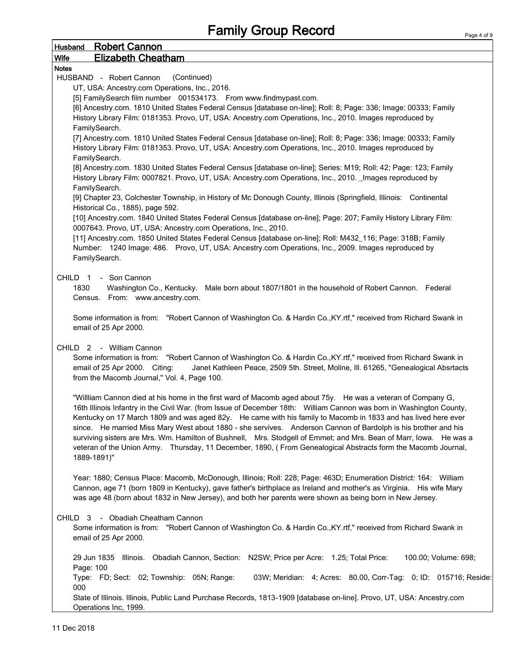| Husband Robert Cannon                                                                                                                                                                                                        |
|------------------------------------------------------------------------------------------------------------------------------------------------------------------------------------------------------------------------------|
| <b>Elizabeth Cheatham</b><br><b>Wife</b>                                                                                                                                                                                     |
| <b>Notes</b>                                                                                                                                                                                                                 |
| HUSBAND - Robert Cannon<br>(Continued)                                                                                                                                                                                       |
| UT, USA: Ancestry.com Operations, Inc., 2016.                                                                                                                                                                                |
| [5] FamilySearch film number 001534173. From www.findmypast.com.                                                                                                                                                             |
| [6] Ancestry.com. 1810 United States Federal Census [database on-line]; Roll: 8; Page: 336; Image: 00333; Family                                                                                                             |
| History Library Film: 0181353. Provo, UT, USA: Ancestry.com Operations, Inc., 2010. Images reproduced by                                                                                                                     |
| FamilySearch.                                                                                                                                                                                                                |
| [7] Ancestry.com. 1810 United States Federal Census [database on-line]; Roll: 8; Page: 336; Image: 00333; Family<br>History Library Film: 0181353. Provo, UT, USA: Ancestry.com Operations, Inc., 2010. Images reproduced by |
| FamilySearch.<br>[8] Ancestry.com. 1830 United States Federal Census [database on-line]; Series: M19; Roll: 42; Page: 123; Family                                                                                            |
| History Library Film: 0007821. Provo, UT, USA: Ancestry.com Operations, Inc., 2010. _ Images reproduced by<br>FamilySearch.                                                                                                  |
| [9] Chapter 23, Colchester Township, in History of Mc Donough County, Illinois (Springfield, Illinois: Continental                                                                                                           |
| Historical Co., 1885), page 592.                                                                                                                                                                                             |
| [10] Ancestry.com. 1840 United States Federal Census [database on-line]; Page: 207; Family History Library Film:<br>0007643. Provo, UT, USA: Ancestry.com Operations, Inc., 2010.                                            |
| [11] Ancestry.com. 1850 United States Federal Census [database on-line]; Roll: M432_116; Page: 318B; Family                                                                                                                  |
| Number: 1240 Image: 486. Provo, UT, USA: Ancestry.com Operations, Inc., 2009. Images reproduced by                                                                                                                           |
| FamilySearch.                                                                                                                                                                                                                |
|                                                                                                                                                                                                                              |
| CHILD 1 - Son Cannon                                                                                                                                                                                                         |
| 1830<br>Washington Co., Kentucky. Male born about 1807/1801 in the household of Robert Cannon. Federal                                                                                                                       |
| Census. From: www.ancestry.com.                                                                                                                                                                                              |
|                                                                                                                                                                                                                              |
| Some information is from: "Robert Cannon of Washington Co. & Hardin Co., KY.rtf," received from Richard Swank in<br>email of 25 Apr 2000.                                                                                    |
|                                                                                                                                                                                                                              |
| CHILD 2 - William Cannon                                                                                                                                                                                                     |
| Some information is from: "Robert Cannon of Washington Co. & Hardin Co., KY.rtf," received from Richard Swank in<br>Janet Kathleen Peace, 2509 5th. Street, Moline, Ill. 61265, "Genealogical Absrtacts                      |
| email of 25 Apr 2000. Citing:<br>from the Macomb Journal," Vol. 4, Page 100.                                                                                                                                                 |
|                                                                                                                                                                                                                              |
| "Willliam Cannon died at his home in the first ward of Macomb aged about 75y. He was a veteran of Company G,                                                                                                                 |
| 16th Illinois Infantry in the Civil War. (from Issue of December 18th: William Cannon was born in Washington County,                                                                                                         |
| Kentucky on 17 March 1809 and was aged 82y. He came with his family to Macomb in 1833 and has lived here ever                                                                                                                |
| since. He married Miss Mary West about 1880 - she servives. Anderson Cannon of Bardolph is his brother and his                                                                                                               |
| surviving sisters are Mrs. Wm. Hamilton of Bushnell, Mrs. Stodgell of Emmet; and Mrs. Bean of Marr, Iowa. He was a                                                                                                           |
| veteran of the Union Army. Thursday, 11 December, 1890, (From Genealogical Abstracts form the Macomb Journal,                                                                                                                |
| 1889-1891)"                                                                                                                                                                                                                  |
|                                                                                                                                                                                                                              |
| Year: 1880; Census Place: Macomb, McDonough, Illinois; Roll: 228; Page: 463D; Enumeration District: 164: William                                                                                                             |
| Cannon, age 71 (born 1809 in Kentucky), gave father's birthplace as Ireland and mother's as Virginia. His wife Mary                                                                                                          |
| was age 48 (born about 1832 in New Jersey), and both her parents were shown as being born in New Jersey.                                                                                                                     |
|                                                                                                                                                                                                                              |
| CHILD 3 - Obadiah Cheatham Cannon                                                                                                                                                                                            |
| Some information is from: "Robert Cannon of Washington Co. & Hardin Co., KY.rtf," received from Richard Swank in                                                                                                             |
| email of 25 Apr 2000.                                                                                                                                                                                                        |
|                                                                                                                                                                                                                              |
| 29 Jun 1835 Illinois. Obadiah Cannon, Section: N2SW; Price per Acre: 1.25; Total Price:<br>100.00; Volume: 698;                                                                                                              |
| Page: 100                                                                                                                                                                                                                    |
| Type: FD; Sect: 02; Township: 05N; Range:<br>03W; Meridian: 4; Acres: 80.00, Corr-Tag: 0; ID: 015716; Reside:<br>000                                                                                                         |
| State of Illinois. Illinois, Public Land Purchase Records, 1813-1909 [database on-line]. Provo, UT, USA: Ancestry.com                                                                                                        |
| Operations Inc, 1999.                                                                                                                                                                                                        |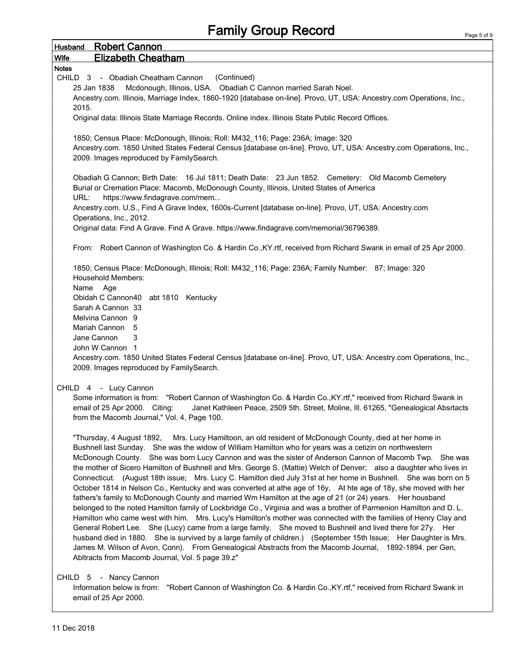## Family Group Record

| <b>Husband</b> Robert Cannon                                                                                         |  |  |
|----------------------------------------------------------------------------------------------------------------------|--|--|
| <b>Elizabeth Cheatham</b><br>Wife                                                                                    |  |  |
| <b>Notes</b>                                                                                                         |  |  |
| (Continued)<br>CHILD 3 - Obadiah Cheatham Cannon                                                                     |  |  |
| Mcdonough, Illinois, USA. Obadiah C Cannon married Sarah Noel.<br>25 Jan 1838                                        |  |  |
| Ancestry.com. Illinois, Marriage Index, 1860-1920 [database on-line]. Provo, UT, USA: Ancestry.com Operations, Inc., |  |  |
| 2015.<br>Original data: Illinois State Marriage Records. Online index. Illinois State Public Record Offices.         |  |  |
|                                                                                                                      |  |  |
| 1850; Census Place: McDonough, Illinois; Roll: M432_116; Page: 236A; Image: 320                                      |  |  |
| Ancestry.com. 1850 United States Federal Census [database on-line]. Provo, UT, USA: Ancestry.com Operations, Inc.,   |  |  |
| 2009. Images reproduced by FamilySearch.                                                                             |  |  |
|                                                                                                                      |  |  |
| Obadiah G Cannon; Birth Date: 16 Jul 1811; Death Date: 23 Jun 1852. Cemetery: Old Macomb Cemetery                    |  |  |
| Burial or Cremation Place: Macomb, McDonough County, Illinois, United States of America                              |  |  |
| URL:<br>https://www.findagrave.com/mem                                                                               |  |  |
| Ancestry.com. U.S., Find A Grave Index, 1600s-Current [database on-line]. Provo, UT, USA: Ancestry.com               |  |  |
| Operations, Inc., 2012.<br>Original data: Find A Grave. Find A Grave. https://www.findagrave.com/memorial/36796389.  |  |  |
|                                                                                                                      |  |  |
| From: Robert Cannon of Washington Co. & Hardin Co., KY.rtf, received from Richard Swank in email of 25 Apr 2000.     |  |  |
|                                                                                                                      |  |  |
| 1850; Census Place: McDonough, Illinois; Roll: M432_116; Page: 236A; Family Number: 87; Image: 320                   |  |  |
| <b>Household Members:</b>                                                                                            |  |  |
| Name Age                                                                                                             |  |  |
| Obidah C Cannon40 abt 1810 Kentucky                                                                                  |  |  |
| Sarah A Cannon 33                                                                                                    |  |  |
| Melvina Cannon 9                                                                                                     |  |  |
| Mariah Cannon 5                                                                                                      |  |  |
| Jane Cannon<br>3                                                                                                     |  |  |
| John W Cannon 1                                                                                                      |  |  |
| Ancestry.com. 1850 United States Federal Census [database on-line]. Provo, UT, USA: Ancestry.com Operations, Inc.,   |  |  |
| 2009. Images reproduced by FamilySearch.                                                                             |  |  |
| CHILD 4 - Lucy Cannon                                                                                                |  |  |
| Some information is from: "Robert Cannon of Washington Co. & Hardin Co., KY.rtf," received from Richard Swank in     |  |  |
| email of 25 Apr 2000. Citing:<br>Janet Kathleen Peace, 2509 5th. Street, Moline, Ill. 61265, "Genealogical Absrtacts |  |  |
| from the Macomb Journal," Vol. 4, Page 100.                                                                          |  |  |
|                                                                                                                      |  |  |
| "Thursday, 4 August 1892, Mrs. Lucy Hamiltoon, an old resident of McDonough County, died at her home in              |  |  |
| Bushnell last Sunday. She was the widow of William Hamilton who for years was a cetizin on northwestern              |  |  |
| McDonough County. She was born Lucy Cannon and was the sister of Anderson Cannon of Macomb Twp. She was              |  |  |
| the mother of Sicero Hamilton of Bushnell and Mrs. George S. (Mattie) Welch of Denver; also a daughter who lives in  |  |  |
| Connecticut. (August 18th issue; Mrs. Lucy C. Hamilton died July 31st at her home in Bushnell. She was born on 5     |  |  |
| October 1814 in Nelson Co., Kentucky and was converted at athe age of 16y, At hte age of 18y, she moved with her     |  |  |
| fathers's family to McDonough County and married Wm Hamilton at the age of 21 (or 24) years. Her housband            |  |  |
| belonged to the noted Hamilton family of Lockbridge Co., Virginia and was a brother of Parmenion Hamilton and D. L.  |  |  |
| Hamilton who came west with him. Mrs. Lucy's Hamilton's mother was connected with the families of Henry Clay and     |  |  |
| General Robert Lee. She (Lucy) came from a large family. She moved to Bushnell and lived there for 27y. Her          |  |  |
| husband died in 1880. She is survived by a large family of children.) (September 15th Issue; Her Daughter is Mrs.    |  |  |
| James M. Wilson of Avon, Conn). From Genealogical Abstracts from the Macomb Journal, 1892-1894. per Gen,             |  |  |
| Abltracts from Macomb Journal, Vol. 5 page 39.z"                                                                     |  |  |
|                                                                                                                      |  |  |
| CHILD 5 - Nancy Cannon                                                                                               |  |  |
| Information below is from:<br>"Robert Cannon of Washington Co. & Hardin Co., KY.rtf," received from Richard Swank in |  |  |
| email of 25 Apr 2000.                                                                                                |  |  |
|                                                                                                                      |  |  |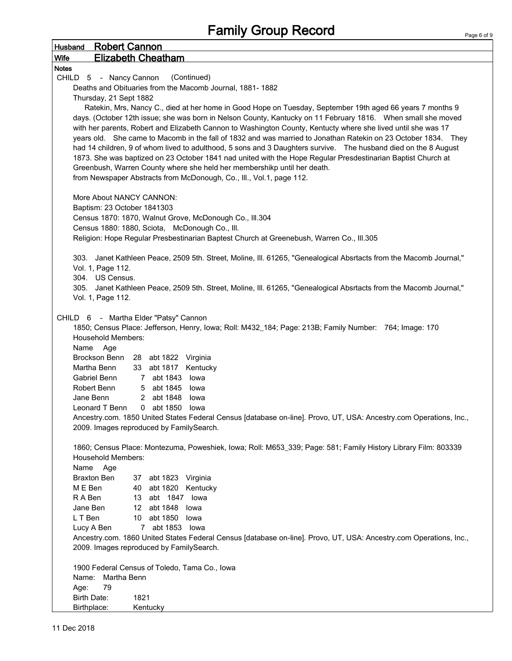| <b>Robert Cannon</b><br><b>Husband</b>                                                                             |  |  |  |  |
|--------------------------------------------------------------------------------------------------------------------|--|--|--|--|
| <b>Elizabeth Cheatham</b><br><b>Wife</b>                                                                           |  |  |  |  |
| <b>Notes</b>                                                                                                       |  |  |  |  |
| (Continued)<br>CHILD 5 - Nancy Cannon                                                                              |  |  |  |  |
| Deaths and Obituaries from the Macomb Journal, 1881-1882                                                           |  |  |  |  |
| Thursday, 21 Sept 1882                                                                                             |  |  |  |  |
| Ratekin, Mrs, Nancy C., died at her home in Good Hope on Tuesday, September 19th aged 66 years 7 months 9          |  |  |  |  |
| days. (October 12th issue; she was born in Nelson County, Kantucky on 11 February 1816. When small she moved       |  |  |  |  |
| with her parents, Robert and Elizabeth Cannon to Washington County, Kentucty where she lived until she was 17      |  |  |  |  |
| years old. She came to Macomb in the fall of 1832 and was married to Jonathan Ratekin on 23 October 1834. They     |  |  |  |  |
| had 14 children, 9 of whom lived to adulthood, 5 sons and 3 Daughters survive.  The husband died on the 8 August   |  |  |  |  |
| 1873. She was baptized on 23 October 1841 nad united with the Hope Regular Presdestinarian Baptist Church at       |  |  |  |  |
| Greenbush, Warren County where she held her membershikp until her death.                                           |  |  |  |  |
| from Newspaper Abstracts from McDonough, Co., Ill., Vol.1, page 112.                                               |  |  |  |  |
|                                                                                                                    |  |  |  |  |
| More About NANCY CANNON:                                                                                           |  |  |  |  |
| Baptism: 23 October 1841303                                                                                        |  |  |  |  |
| Census 1870: 1870, Walnut Grove, McDonough Co., Ill.304                                                            |  |  |  |  |
| Census 1880: 1880, Sciota, McDonough Co., Ill.                                                                     |  |  |  |  |
| Religion: Hope Regular Presbestinarian Baptest Church at Greenebush, Warren Co., III.305                           |  |  |  |  |
|                                                                                                                    |  |  |  |  |
| 303. Janet Kathleen Peace, 2509 5th. Street, Moline, III. 61265, "Genealogical Absrtacts from the Macomb Journal," |  |  |  |  |
| Vol. 1, Page 112.                                                                                                  |  |  |  |  |
| 304. US Census.                                                                                                    |  |  |  |  |
| 305. Janet Kathleen Peace, 2509 5th. Street, Moline, III. 61265, "Genealogical Absrtacts from the Macomb Journal," |  |  |  |  |
| Vol. 1, Page 112.                                                                                                  |  |  |  |  |
|                                                                                                                    |  |  |  |  |
| CHILD 6 - Martha Elder "Patsy" Cannon                                                                              |  |  |  |  |
| 1850; Census Place: Jefferson, Henry, Iowa; Roll: M432_184; Page: 213B; Family Number: 764; Image: 170             |  |  |  |  |
| <b>Household Members:</b>                                                                                          |  |  |  |  |
| Name<br>Age                                                                                                        |  |  |  |  |
| Brockson Benn<br>28 abt 1822 Virginia                                                                              |  |  |  |  |
| Martha Benn<br>33 abt 1817 Kentucky                                                                                |  |  |  |  |
| 7 abt 1843<br>Gabriel Benn<br>lowa                                                                                 |  |  |  |  |
| Robert Benn<br>5 abt 1845<br>lowa                                                                                  |  |  |  |  |
| Jane Benn<br>2 abt 1848<br>lowa                                                                                    |  |  |  |  |
| 0 abt 1850<br>Leonard T Benn<br>lowa                                                                               |  |  |  |  |
| Ancestry.com. 1850 United States Federal Census [database on-line]. Provo, UT, USA: Ancestry.com Operations, Inc., |  |  |  |  |
| 2009. Images reproduced by FamilySearch.                                                                           |  |  |  |  |
|                                                                                                                    |  |  |  |  |
| 1860; Census Place: Montezuma, Poweshiek, Iowa; Roll: M653_339; Page: 581; Family History Library Film: 803339     |  |  |  |  |
| <b>Household Members:</b>                                                                                          |  |  |  |  |
| Name<br>Age                                                                                                        |  |  |  |  |
| <b>Braxton Ben</b><br>37 abt 1823 Virginia                                                                         |  |  |  |  |
| M E Ben<br>40 abt 1820 Kentucky                                                                                    |  |  |  |  |
| R A Ben<br>13 abt 1847 lowa                                                                                        |  |  |  |  |
| 12 abt 1848 lowa<br>Jane Ben                                                                                       |  |  |  |  |
| L T Ben<br>10 abt 1850 lowa                                                                                        |  |  |  |  |
| 7 abt 1853 lowa<br>Lucy A Ben                                                                                      |  |  |  |  |
| Ancestry.com. 1860 United States Federal Census [database on-line]. Provo, UT, USA: Ancestry.com Operations, Inc., |  |  |  |  |
|                                                                                                                    |  |  |  |  |
| 2009. Images reproduced by FamilySearch.                                                                           |  |  |  |  |
|                                                                                                                    |  |  |  |  |
| 1900 Federal Census of Toledo, Tama Co., Iowa                                                                      |  |  |  |  |
| Martha Benn<br>Name:                                                                                               |  |  |  |  |
| 79<br>Age:                                                                                                         |  |  |  |  |
| Birth Date:<br>1821                                                                                                |  |  |  |  |
| Birthplace:<br>Kentucky                                                                                            |  |  |  |  |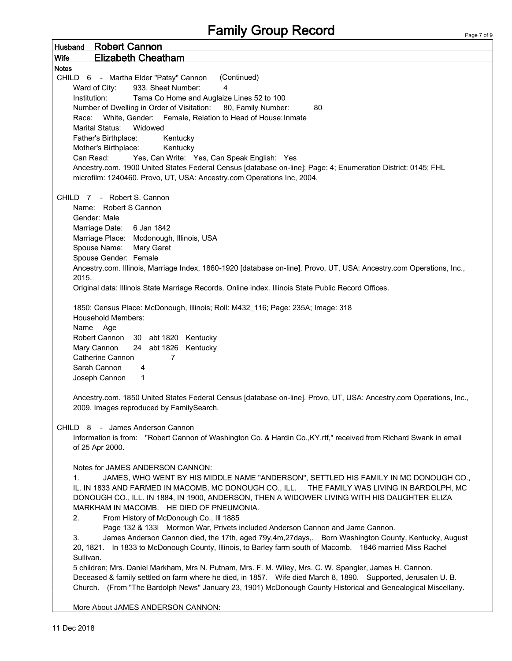## Family Group Record

| <b>Robert Cannon</b><br><b>Husband</b>                                                                               |
|----------------------------------------------------------------------------------------------------------------------|
| <b>Elizabeth Cheatham</b><br><b>Wife</b>                                                                             |
| <b>Notes</b>                                                                                                         |
| (Continued)<br>CHILD 6 - Martha Elder "Patsy" Cannon                                                                 |
| 933. Sheet Number:<br>4<br>Ward of City:                                                                             |
| Institution:<br>Tama Co Home and Auglaize Lines 52 to 100                                                            |
| Number of Dwelling in Order of Visitation: 80, Family Number:<br>80                                                  |
| Race: White, Gender: Female, Relation to Head of House: Inmate                                                       |
| Marital Status:<br>Widowed                                                                                           |
| Father's Birthplace:<br>Kentucky                                                                                     |
| Mother's Birthplace:<br>Kentucky                                                                                     |
| Can Read:                                                                                                            |
| Yes, Can Write: Yes, Can Speak English: Yes                                                                          |
| Ancestry.com. 1900 United States Federal Census [database on-line]; Page: 4; Enumeration District: 0145; FHL         |
| microfilm: 1240460. Provo, UT, USA: Ancestry.com Operations Inc, 2004.                                               |
|                                                                                                                      |
| CHILD 7 - Robert S. Cannon                                                                                           |
| Name: Robert S Cannon                                                                                                |
| Gender: Male                                                                                                         |
| Marriage Date: 6 Jan 1842                                                                                            |
| Marriage Place: Mcdonough, Illinois, USA                                                                             |
| Spouse Name:<br>Mary Garet                                                                                           |
| Spouse Gender: Female                                                                                                |
| Ancestry.com. Illinois, Marriage Index, 1860-1920 [database on-line]. Provo, UT, USA: Ancestry.com Operations, Inc., |
| 2015.                                                                                                                |
| Original data: Illinois State Marriage Records. Online index. Illinois State Public Record Offices.                  |
|                                                                                                                      |
| 1850; Census Place: McDonough, Illinois; Roll: M432_116; Page: 235A; Image: 318                                      |
| <b>Household Members:</b>                                                                                            |
| Name Age                                                                                                             |
| Robert Cannon 30 abt 1820 Kentucky                                                                                   |
| 24 abt 1826 Kentucky<br>Mary Cannon                                                                                  |
| Catherine Cannon<br>7                                                                                                |
| Sarah Cannon<br>4                                                                                                    |
| 1                                                                                                                    |
| Joseph Cannon                                                                                                        |
| Ancestry.com. 1850 United States Federal Census [database on-line]. Provo, UT, USA: Ancestry.com Operations, Inc.,   |
| 2009. Images reproduced by FamilySearch.                                                                             |
|                                                                                                                      |
| CHILD 8 - James Anderson Cannon                                                                                      |
| Information is from: "Robert Cannon of Washington Co. & Hardin Co., KY. rtf," received from Richard Swank in email   |
| of 25 Apr 2000.                                                                                                      |
|                                                                                                                      |
| Notes for JAMES ANDERSON CANNON:                                                                                     |
| JAMES, WHO WENT BY HIS MIDDLE NAME "ANDERSON", SETTLED HIS FAMILY IN MC DONOUGH CO.,<br>1.                           |
| IL. IN 1833 AND FARMED IN MACOMB, MC DONOUGH CO., ILL. THE FAMILY WAS LIVING IN BARDOLPH, MC                         |
| DONOUGH CO., ILL. IN 1884, IN 1900, ANDERSON, THEN A WIDOWER LIVING WITH HIS DAUGHTER ELIZA                          |
| MARKHAM IN MACOMB. HE DIED OF PNEUMONIA.                                                                             |
| 2.<br>From History of McDonough Co., Ill 1885                                                                        |
| Page 132 & 133I Mormon War, Privets included Anderson Cannon and Jame Cannon.                                        |
| James Anderson Cannon died, the 17th, aged 79y,4m,27days,. Born Washington County, Kentucky, August<br>3.            |
|                                                                                                                      |
| 20, 1821. In 1833 to McDonough County, Illinois, to Barley farm south of Macomb. 1846 married Miss Rachel            |
| Sullivan.                                                                                                            |
| 5 children; Mrs. Daniel Markham, Mrs N. Putnam, Mrs. F. M. Wiley, Mrs. C. W. Spangler, James H. Cannon.              |
| Deceased & family settled on farm where he died, in 1857. Wife died March 8, 1890. Supported, Jerusalen U. B.        |
| Church. (From "The Bardolph News" January 23, 1901) McDonough County Historical and Genealogical Miscellany.         |
| More About IAMES ANDERSON CANNONI                                                                                    |
|                                                                                                                      |

More About JAMES ANDERSON CANNON:

 $\mathsf{r}$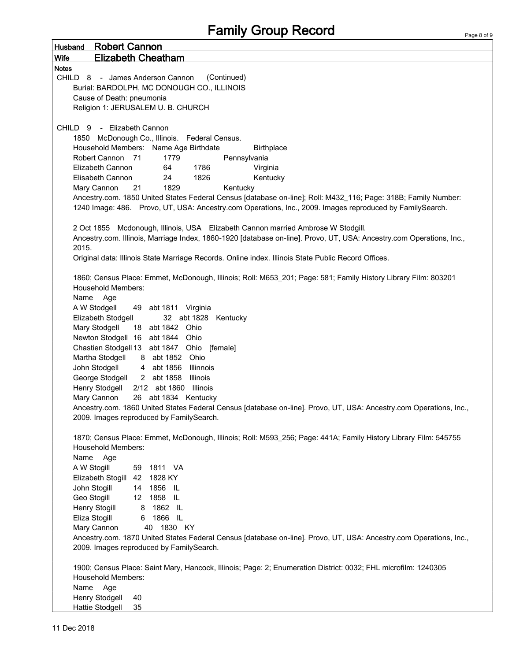| <b>Robert Cannon</b><br><b>Husband</b>                                                                               |  |
|----------------------------------------------------------------------------------------------------------------------|--|
| <b>Elizabeth Cheatham</b><br><b>Wife</b>                                                                             |  |
| <b>Notes</b>                                                                                                         |  |
| (Continued)<br>CHILD 8 - James Anderson Cannon                                                                       |  |
| Burial: BARDOLPH, MC DONOUGH CO., ILLINOIS                                                                           |  |
| Cause of Death: pneumonia                                                                                            |  |
| Religion 1: JERUSALEM U. B. CHURCH                                                                                   |  |
|                                                                                                                      |  |
| - Elizabeth Cannon<br>CHILD <sub>9</sub>                                                                             |  |
| McDonough Co., Illinois. Federal Census.<br>1850                                                                     |  |
| Household Members: Name Age Birthdate<br><b>Birthplace</b>                                                           |  |
| Robert Cannon 71<br>1779<br>Pennsylvania<br>Elizabeth Cannon<br>64<br>1786                                           |  |
| Virginia<br>1826<br>Kentucky<br>Elisabeth Cannon<br>24                                                               |  |
| 1829<br>Mary Cannon<br>21<br>Kentucky                                                                                |  |
| Ancestry.com. 1850 United States Federal Census [database on-line]; Roll: M432_116; Page: 318B; Family Number:       |  |
| 1240 Image: 486. Provo, UT, USA: Ancestry.com Operations, Inc., 2009. Images reproduced by FamilySearch.             |  |
|                                                                                                                      |  |
| 2 Oct 1855 Mcdonough, Illinois, USA Elizabeth Cannon married Ambrose W Stodgill.                                     |  |
| Ancestry.com. Illinois, Marriage Index, 1860-1920 [database on-line]. Provo, UT, USA: Ancestry.com Operations, Inc., |  |
| 2015.                                                                                                                |  |
| Original data: Illinois State Marriage Records. Online index. Illinois State Public Record Offices.                  |  |
|                                                                                                                      |  |
| 1860; Census Place: Emmet, McDonough, Illinois; Roll: M653_201; Page: 581; Family History Library Film: 803201       |  |
| <b>Household Members:</b>                                                                                            |  |
| Name<br>Age                                                                                                          |  |
| A W Stodgell<br>49 abt 1811 Virginia                                                                                 |  |
| Elizabeth Stodgell<br>32 abt 1828 Kentucky                                                                           |  |
| Mary Stodgell<br>18 abt 1842 Ohio                                                                                    |  |
| Newton Stodgell 16 abt 1844 Ohio                                                                                     |  |
| Chastien Stodgell 13 abt 1847 Ohio [female]                                                                          |  |
| Martha Stodgell<br>8 abt 1852 Ohio                                                                                   |  |
| John Stodgell<br>4 abt 1856<br><b>Illinnois</b><br>George Stodgell                                                   |  |
| 2 abt 1858<br>Illinois<br>Henry Stodgell<br>2/12 abt 1860<br>Illinois                                                |  |
| Mary Cannon<br>26 abt 1834 Kentucky                                                                                  |  |
| Ancestry.com. 1860 United States Federal Census [database on-line]. Provo, UT, USA: Ancestry.com Operations, Inc.,   |  |
| 2009. Images reproduced by FamilySearch.                                                                             |  |
|                                                                                                                      |  |
| 1870; Census Place: Emmet, McDonough, Illinois; Roll: M593_256; Page: 441A; Family History Library Film: 545755      |  |
| <b>Household Members:</b>                                                                                            |  |
| Name<br>Age                                                                                                          |  |
| A W Stogill<br>59 1811 VA                                                                                            |  |
| Elizabeth Stogill 42 1828 KY                                                                                         |  |
| John Stogill<br>14 1856 IL                                                                                           |  |
| Geo Stogill<br>12 1858 IL                                                                                            |  |
| Henry Stogill<br>8 1862 IL                                                                                           |  |
| 6 1866 IL<br>Eliza Stogill                                                                                           |  |
| 40 1830 KY<br>Mary Cannon                                                                                            |  |
| Ancestry.com. 1870 United States Federal Census [database on-line]. Provo, UT, USA: Ancestry.com Operations, Inc.,   |  |
| 2009. Images reproduced by FamilySearch.                                                                             |  |
|                                                                                                                      |  |
| 1900; Census Place: Saint Mary, Hancock, Illinois; Page: 2; Enumeration District: 0032; FHL microfilm: 1240305       |  |
| <b>Household Members:</b>                                                                                            |  |
| Name Age<br>40                                                                                                       |  |
| Henry Stodgell<br><b>Hattie Stodgell</b><br>35                                                                       |  |
|                                                                                                                      |  |